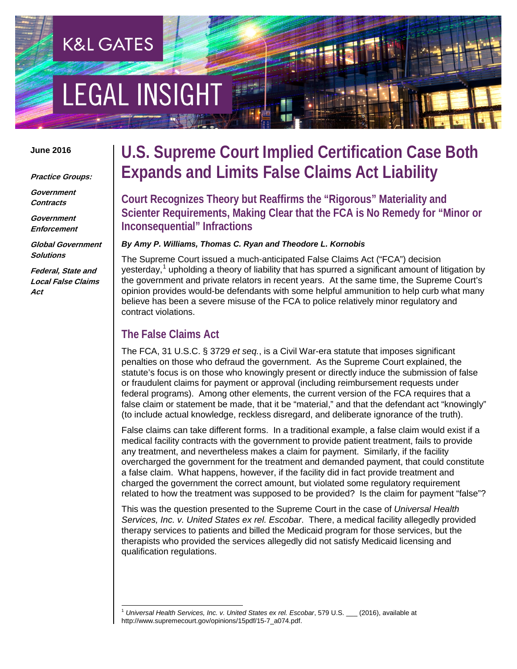# **EGAL INSIGHT**

**K&L GATES** 

#### **June 2016**

**Practice Groups:**

**Government Contracts**

**Government Enforcement**

**Global Government Solutions**

**Federal, State and Local False Claims Act**

# **U.S. Supreme Court Implied Certification Case Both Expands and Limits False Claims Act Liability**

**Court Recognizes Theory but Reaffirms the "Rigorous" Materiality and Scienter Requirements, Making Clear that the FCA is No Remedy for "Minor or Inconsequential" Infractions**

#### *By Amy P. Williams, Thomas C. Ryan and Theodore L. Kornobis*

The Supreme Court issued a much-anticipated False Claims Act ("FCA") decision yesterday,<sup>[1](#page-0-0)</sup> upholding a theory of liability that has spurred a significant amount of litigation by the government and private relators in recent years. At the same time, the Supreme Court's opinion provides would-be defendants with some helpful ammunition to help curb what many believe has been a severe misuse of the FCA to police relatively minor regulatory and contract violations.

### **The False Claims Act**

The FCA, 31 U.S.C. § 3729 *et seq.*, is a Civil War-era statute that imposes significant penalties on those who defraud the government. As the Supreme Court explained, the statute's focus is on those who knowingly present or directly induce the submission of false or fraudulent claims for payment or approval (including reimbursement requests under federal programs). Among other elements, the current version of the FCA requires that a false claim or statement be made, that it be "material," and that the defendant act "knowingly" (to include actual knowledge, reckless disregard, and deliberate ignorance of the truth).

False claims can take different forms. In a traditional example, a false claim would exist if a medical facility contracts with the government to provide patient treatment, fails to provide any treatment, and nevertheless makes a claim for payment. Similarly, if the facility overcharged the government for the treatment and demanded payment, that could constitute a false claim. What happens, however, if the facility did in fact provide treatment and charged the government the correct amount, but violated some regulatory requirement related to how the treatment was supposed to be provided? Is the claim for payment "false"?

This was the question presented to the Supreme Court in the case of *Universal Health Services, Inc. v. United States ex rel. Escobar*. There, a medical facility allegedly provided therapy services to patients and billed the Medicaid program for those services, but the therapists who provided the services allegedly did not satisfy Medicaid licensing and qualification regulations.

<span id="page-0-0"></span> <sup>1</sup> *Universal Health Services, Inc. v. United States ex rel. Escobar*, 579 U.S. \_\_\_ (2016), available at http://www.supremecourt.gov/opinions/15pdf/15-7\_a074.pdf.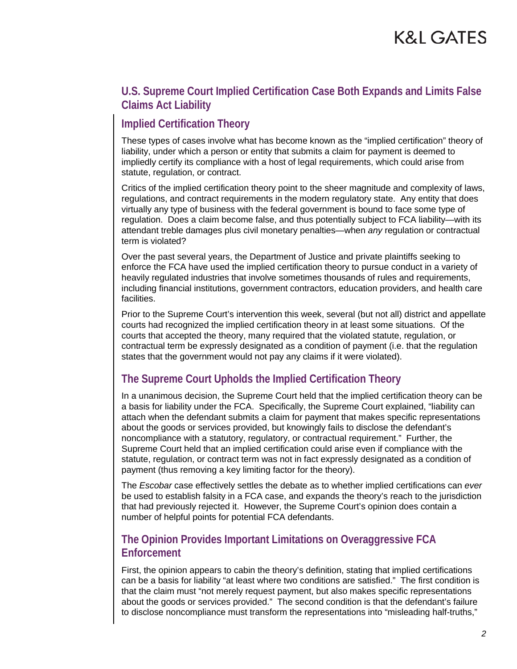### **U.S. Supreme Court Implied Certification Case Both Expands and Limits False Claims Act Liability**

### **Implied Certification Theory**

These types of cases involve what has become known as the "implied certification" theory of liability, under which a person or entity that submits a claim for payment is deemed to impliedly certify its compliance with a host of legal requirements, which could arise from statute, regulation, or contract.

Critics of the implied certification theory point to the sheer magnitude and complexity of laws, regulations, and contract requirements in the modern regulatory state. Any entity that does virtually any type of business with the federal government is bound to face some type of regulation. Does a claim become false, and thus potentially subject to FCA liability—with its attendant treble damages plus civil monetary penalties—when *any* regulation or contractual term is violated?

Over the past several years, the Department of Justice and private plaintiffs seeking to enforce the FCA have used the implied certification theory to pursue conduct in a variety of heavily regulated industries that involve sometimes thousands of rules and requirements, including financial institutions, government contractors, education providers, and health care facilities.

Prior to the Supreme Court's intervention this week, several (but not all) district and appellate courts had recognized the implied certification theory in at least some situations. Of the courts that accepted the theory, many required that the violated statute, regulation, or contractual term be expressly designated as a condition of payment (i.e. that the regulation states that the government would not pay any claims if it were violated).

## **The Supreme Court Upholds the Implied Certification Theory**

In a unanimous decision, the Supreme Court held that the implied certification theory can be a basis for liability under the FCA. Specifically, the Supreme Court explained, "liability can attach when the defendant submits a claim for payment that makes specific representations about the goods or services provided, but knowingly fails to disclose the defendant's noncompliance with a statutory, regulatory, or contractual requirement." Further, the Supreme Court held that an implied certification could arise even if compliance with the statute, regulation, or contract term was not in fact expressly designated as a condition of payment (thus removing a key limiting factor for the theory).

The *Escobar* case effectively settles the debate as to whether implied certifications can *ever* be used to establish falsity in a FCA case, and expands the theory's reach to the jurisdiction that had previously rejected it. However, the Supreme Court's opinion does contain a number of helpful points for potential FCA defendants.

#### **The Opinion Provides Important Limitations on Overaggressive FCA Enforcement**

First, the opinion appears to cabin the theory's definition, stating that implied certifications can be a basis for liability "at least where two conditions are satisfied." The first condition is that the claim must "not merely request payment, but also makes specific representations about the goods or services provided." The second condition is that the defendant's failure to disclose noncompliance must transform the representations into "misleading half-truths,"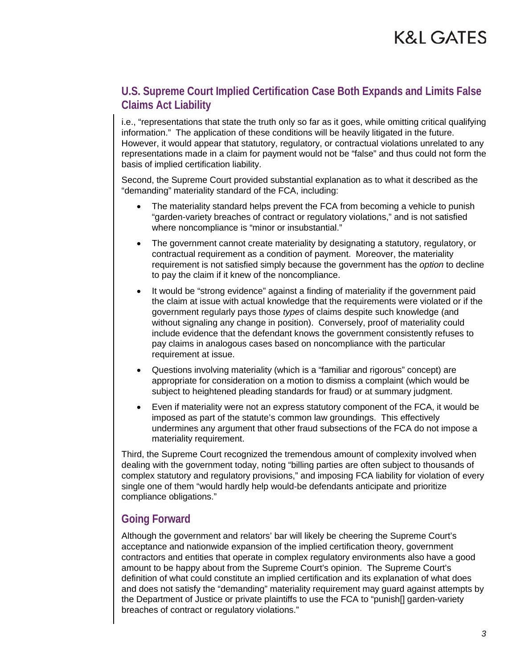### **U.S. Supreme Court Implied Certification Case Both Expands and Limits False Claims Act Liability**

i.e., "representations that state the truth only so far as it goes, while omitting critical qualifying information." The application of these conditions will be heavily litigated in the future. However, it would appear that statutory, regulatory, or contractual violations unrelated to any representations made in a claim for payment would not be "false" and thus could not form the basis of implied certification liability.

Second, the Supreme Court provided substantial explanation as to what it described as the "demanding" materiality standard of the FCA, including:

- The materiality standard helps prevent the FCA from becoming a vehicle to punish "garden-variety breaches of contract or regulatory violations," and is not satisfied where noncompliance is "minor or insubstantial."
- The government cannot create materiality by designating a statutory, regulatory, or contractual requirement as a condition of payment. Moreover, the materiality requirement is not satisfied simply because the government has the *option* to decline to pay the claim if it knew of the noncompliance.
- It would be "strong evidence" against a finding of materiality if the government paid the claim at issue with actual knowledge that the requirements were violated or if the government regularly pays those *types* of claims despite such knowledge (and without signaling any change in position). Conversely, proof of materiality could include evidence that the defendant knows the government consistently refuses to pay claims in analogous cases based on noncompliance with the particular requirement at issue.
- Questions involving materiality (which is a "familiar and rigorous" concept) are appropriate for consideration on a motion to dismiss a complaint (which would be subject to heightened pleading standards for fraud) or at summary judgment.
- Even if materiality were not an express statutory component of the FCA, it would be imposed as part of the statute's common law groundings. This effectively undermines any argument that other fraud subsections of the FCA do not impose a materiality requirement.

Third, the Supreme Court recognized the tremendous amount of complexity involved when dealing with the government today, noting "billing parties are often subject to thousands of complex statutory and regulatory provisions," and imposing FCA liability for violation of every single one of them "would hardly help would-be defendants anticipate and prioritize compliance obligations."

## **Going Forward**

Although the government and relators' bar will likely be cheering the Supreme Court's acceptance and nationwide expansion of the implied certification theory, government contractors and entities that operate in complex regulatory environments also have a good amount to be happy about from the Supreme Court's opinion. The Supreme Court's definition of what could constitute an implied certification and its explanation of what does and does not satisfy the "demanding" materiality requirement may guard against attempts by the Department of Justice or private plaintiffs to use the FCA to "punish[] garden-variety breaches of contract or regulatory violations."